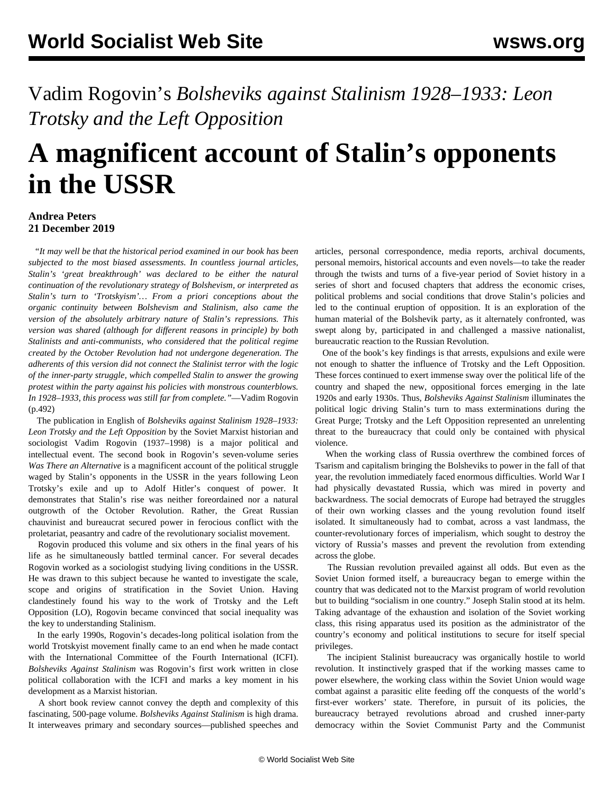## Vadim Rogovin's *Bolsheviks against Stalinism 1928–1933: Leon Trotsky and the Left Opposition*

## **A magnificent account of Stalin's opponents in the USSR**

## **Andrea Peters 21 December 2019**

 "*It may well be that the historical period examined in our book has been subjected to the most biased assessments. In countless journal articles, Stalin's 'great breakthrough' was declared to be either the natural continuation of the revolutionary strategy of Bolshevism, or interpreted as Stalin's turn to 'Trotskyism'… From a priori conceptions about the organic continuity between Bolshevism and Stalinism, also came the version of the absolutely arbitrary nature of Stalin's repressions. This version was shared (although for different reasons in principle) by both Stalinists and anti-communists, who considered that the political regime created by the October Revolution had not undergone degeneration. The adherents of this version did not connect the Stalinist terror with the logic of the inner-party struggle, which compelled Stalin to answer the growing protest within the party against his policies with monstrous counterblows. In 1928–1933, this process was still far from complete."*—Vadim Rogovin (p.492)

 The publication in English of *Bolsheviks against Stalinism 1928–1933: Leon Trotsky and the Left Opposition* by the Soviet Marxist historian and sociologist Vadim Rogovin (1937–1998) is a major political and intellectual event. The second book in Rogovin's seven-volume series *Was There an Alternative* is a magnificent account of the political struggle waged by Stalin's opponents in the USSR in the years following Leon Trotsky's exile and up to Adolf Hitler's conquest of power. It demonstrates that Stalin's rise was neither foreordained nor a natural outgrowth of the October Revolution. Rather, the Great Russian chauvinist and bureaucrat secured power in ferocious conflict with the proletariat, peasantry and cadre of the revolutionary socialist movement.

 Rogovin produced this volume and six others in the final years of his life as he simultaneously battled terminal cancer. For several decades Rogovin [worked as a sociologist](/en/articles/2018/09/25/rogo-s25.html) studying living conditions in the USSR. He was drawn to this subject because he wanted to investigate the scale, scope and origins of stratification in the Soviet Union. Having clandestinely found his way to the work of Trotsky and the Left Opposition (LO), Rogovin became convinced that social inequality was the key to understanding Stalinism.

 In the early 1990s, Rogovin's decades-long political isolation from the world Trotskyist movement finally came to an end when he made contact with the International Committee of the Fourth International (ICFI). *Bolsheviks Against Stalinism* was Rogovin's first work written in close political collaboration with the ICFI and marks a key moment in his development as a Marxist historian.

 A short book review cannot convey the depth and complexity of this fascinating, 500-page volume. *Bolsheviks Against Stalinism* is high drama. It interweaves primary and secondary sources—published speeches and articles, personal correspondence, media reports, archival documents, personal memoirs, historical accounts and even novels—to take the reader through the twists and turns of a five-year period of Soviet history in a series of short and focused chapters that address the economic crises, political problems and social conditions that drove Stalin's policies and led to the continual eruption of opposition. It is an exploration of the human material of the Bolshevik party, as it alternately confronted, was swept along by, participated in and challenged a massive nationalist, bureaucratic reaction to the Russian Revolution.

 One of the book's key findings is that arrests, expulsions and exile were not enough to shatter the influence of Trotsky and the Left Opposition. These forces continued to exert immense sway over the political life of the country and shaped the new, oppositional forces emerging in the late 1920s and early 1930s. Thus, *Bolsheviks Against Stalinism* illuminates the political logic driving Stalin's turn to mass exterminations during the Great Purge; Trotsky and the Left Opposition represented an unrelenting threat to the bureaucracy that could only be contained with physical violence.

 When the working class of Russia overthrew the combined forces of Tsarism and capitalism bringing the Bolsheviks to power in the fall of that year, the revolution immediately faced enormous difficulties. World War I had physically devastated Russia, which was mired in poverty and backwardness. The social democrats of Europe had betrayed the struggles of their own working classes and the young revolution found itself isolated. It simultaneously had to combat, across a vast landmass, the counter-revolutionary forces of imperialism, which sought to destroy the victory of Russia's masses and prevent the revolution from extending across the globe.

 The Russian revolution prevailed against all odds. But even as the Soviet Union formed itself, a bureaucracy began to emerge within the country that was dedicated not to the Marxist program of world revolution but to building "socialism in one country." Joseph Stalin stood at its helm. Taking advantage of the exhaustion and isolation of the Soviet working class, this rising apparatus used its position as the administrator of the country's economy and political institutions to secure for itself special privileges.

 The incipient Stalinist bureaucracy was organically hostile to world revolution. It instinctively grasped that if the working masses came to power elsewhere, the working class within the Soviet Union would wage combat against a parasitic elite feeding off the conquests of the world's first-ever workers' state. Therefore, in pursuit of its policies, the bureaucracy betrayed revolutions abroad and crushed inner-party democracy within the Soviet Communist Party and the Communist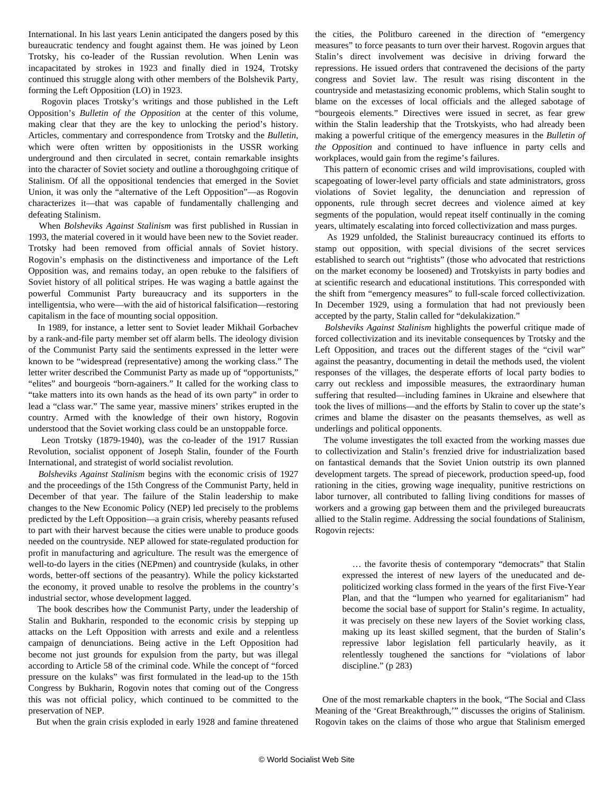International. In his last years Lenin anticipated the dangers posed by this bureaucratic tendency and fought against them. He was joined by Leon Trotsky, his co-leader of the Russian revolution. When Lenin was incapacitated by strokes in 1923 and finally died in 1924, Trotsky continued this struggle along with other members of the Bolshevik Party, forming the Left Opposition (LO) in 1923.

 Rogovin places Trotsky's writings and those published in the Left Opposition's *Bulletin of the Opposition* at the center of this volume, making clear that they are the key to unlocking the period's history. Articles, commentary and correspondence from Trotsky and the *Bulletin*, which were often written by oppositionists in the USSR working underground and then circulated in secret, contain remarkable insights into the character of Soviet society and outline a thoroughgoing critique of Stalinism. Of all the oppositional tendencies that emerged in the Soviet Union, it was only the "alternative of the Left Opposition"—as Rogovin characterizes it—that was capable of fundamentally challenging and defeating Stalinism.

 When *Bolsheviks Against Stalinism* was first published in Russian in 1993, the material covered in it would have been new to the Soviet reader. Trotsky had been removed from official annals of Soviet history. Rogovin's emphasis on the distinctiveness and importance of the Left Opposition was, and remains today, an open rebuke to the falsifiers of Soviet history of all political stripes. He was waging a battle against the powerful Communist Party bureaucracy and its supporters in the intelligentsia, who were—with the aid of historical falsification—restoring capitalism in the face of mounting social opposition.

 In 1989, for instance, a letter sent to Soviet leader Mikhail Gorbachev by a rank-and-file party member set off alarm bells. The ideology division of the Communist Party said the sentiments expressed in the letter were known to be "widespread (representative) among the working class." The letter writer described the Communist Party as made up of "opportunists," "elites" and bourgeois "born-againers." It called for the working class to "take matters into its own hands as the head of its own party" in order to lead a "class war." The same year, massive miners' strikes erupted in the country. Armed with the knowledge of their own history, Rogovin understood that the Soviet working class could be an unstoppable force.

 Leon Trotsky (1879-1940), was the co-leader of the 1917 Russian Revolution, socialist opponent of Joseph Stalin, founder of the Fourth International, and strategist of world socialist revolution.

 *Bolsheviks Against Stalinism* begins with the economic crisis of 1927 and the proceedings of the 15th Congress of the Communist Party, held in December of that year. The failure of the Stalin leadership to make changes to the New Economic Policy (NEP) led precisely to the problems predicted by the Left Opposition—a grain crisis, whereby peasants refused to part with their harvest because the cities were unable to produce goods needed on the countryside. NEP allowed for state-regulated production for profit in manufacturing and agriculture. The result was the emergence of well-to-do layers in the cities (NEPmen) and countryside (kulaks, in other words, better-off sections of the peasantry). While the policy kickstarted the economy, it proved unable to resolve the problems in the country's industrial sector, whose development lagged.

 The book describes how the Communist Party, under the leadership of Stalin and Bukharin, responded to the economic crisis by stepping up attacks on the Left Opposition with arrests and exile and a relentless campaign of denunciations. Being active in the Left Opposition had become not just grounds for expulsion from the party, but was illegal according to Article 58 of the criminal code. While the concept of "forced pressure on the kulaks" was first formulated in the lead-up to the 15th Congress by Bukharin, Rogovin notes that coming out of the Congress this was not official policy, which continued to be committed to the preservation of NEP.

But when the grain crisis exploded in early 1928 and famine threatened

the cities, the Politburo careened in the direction of "emergency measures" to force peasants to turn over their harvest. Rogovin argues that Stalin's direct involvement was decisive in driving forward the repressions. He issued orders that contravened the decisions of the party congress and Soviet law. The result was rising discontent in the countryside and metastasizing economic problems, which Stalin sought to blame on the excesses of local officials and the alleged sabotage of "bourgeois elements." Directives were issued in secret, as fear grew within the Stalin leadership that the Trotskyists, who had already been making a powerful critique of the emergency measures in the *Bulletin of the Opposition* and continued to have influence in party cells and workplaces, would gain from the regime's failures.

 This pattern of economic crises and wild improvisations, coupled with scapegoating of lower-level party officials and state administrators, gross violations of Soviet legality, the denunciation and repression of opponents, rule through secret decrees and violence aimed at key segments of the population, would repeat itself continually in the coming years, ultimately escalating into forced collectivization and mass purges.

 As 1929 unfolded, the Stalinist bureaucracy continued its efforts to stamp out opposition, with special divisions of the secret services established to search out "rightists" (those who advocated that restrictions on the market economy be loosened) and Trotskyists in party bodies and at scientific research and educational institutions. This corresponded with the shift from "emergency measures" to full-scale forced collectivization. In December 1929, using a formulation that had not previously been accepted by the party, Stalin called for "dekulakization."

 *Bolsheviks Against Stalinism* highlights the powerful critique made of forced collectivization and its inevitable consequences by Trotsky and the Left Opposition, and traces out the different stages of the "civil war" against the peasantry, documenting in detail the methods used, the violent responses of the villages, the desperate efforts of local party bodies to carry out reckless and impossible measures, the extraordinary human suffering that resulted—including famines in Ukraine and elsewhere that took the lives of millions—and the efforts by Stalin to cover up the state's crimes and blame the disaster on the peasants themselves, as well as underlings and political opponents.

 The volume investigates the toll exacted from the working masses due to collectivization and Stalin's frenzied drive for industrialization based on fantastical demands that the Soviet Union outstrip its own planned development targets. The spread of piecework, production speed-up, food rationing in the cities, growing wage inequality, punitive restrictions on labor turnover, all contributed to falling living conditions for masses of workers and a growing gap between them and the privileged bureaucrats allied to the Stalin regime. Addressing the social foundations of Stalinism, Rogovin rejects:

 … the favorite thesis of contemporary "democrats" that Stalin expressed the interest of new layers of the uneducated and depoliticized working class formed in the years of the first Five-Year Plan, and that the "lumpen who yearned for egalitarianism" had become the social base of support for Stalin's regime. In actuality, it was precisely on these new layers of the Soviet working class, making up its least skilled segment, that the burden of Stalin's repressive labor legislation fell particularly heavily, as it relentlessly toughened the sanctions for "violations of labor discipline." (p 283)

 One of the most remarkable chapters in the book, "The Social and Class Meaning of the 'Great Breakthrough,'" discusses the origins of Stalinism. Rogovin takes on the claims of those who argue that Stalinism emerged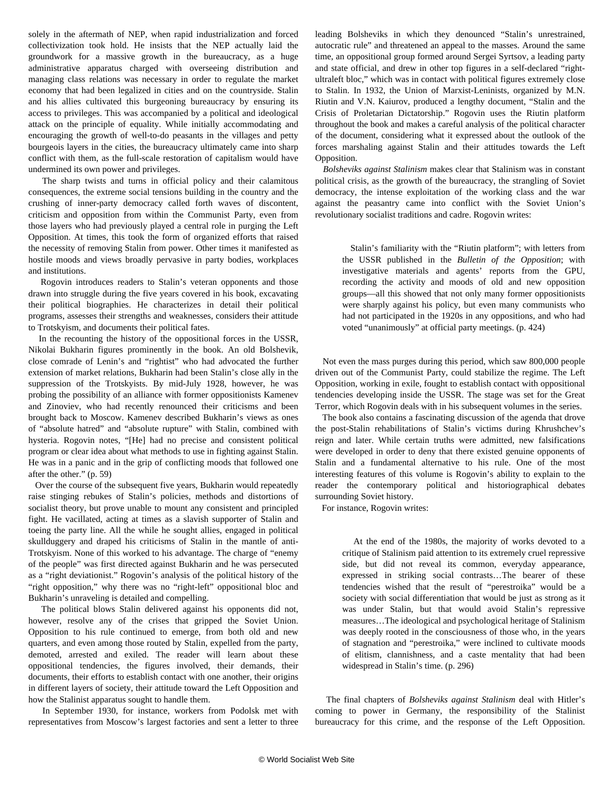solely in the aftermath of NEP, when rapid industrialization and forced collectivization took hold. He insists that the NEP actually laid the groundwork for a massive growth in the bureaucracy, as a huge administrative apparatus charged with overseeing distribution and managing class relations was necessary in order to regulate the market economy that had been legalized in cities and on the countryside. Stalin and his allies cultivated this burgeoning bureaucracy by ensuring its access to privileges. This was accompanied by a political and ideological attack on the principle of equality. While initially accommodating and encouraging the growth of well-to-do peasants in the villages and petty bourgeois layers in the cities, the bureaucracy ultimately came into sharp conflict with them, as the full-scale restoration of capitalism would have undermined its own power and privileges.

 The sharp twists and turns in official policy and their calamitous consequences, the extreme social tensions building in the country and the crushing of inner-party democracy called forth waves of discontent, criticism and opposition from within the Communist Party, even from those layers who had previously played a central role in purging the Left Opposition. At times, this took the form of organized efforts that raised the necessity of removing Stalin from power. Other times it manifested as hostile moods and views broadly pervasive in party bodies, workplaces and institutions.

 Rogovin introduces readers to Stalin's veteran opponents and those drawn into struggle during the five years covered in his book, excavating their political biographies. He characterizes in detail their political programs, assesses their strengths and weaknesses, considers their attitude to Trotskyism, and documents their political fates.

 In the recounting the history of the oppositional forces in the USSR, Nikolai Bukharin figures prominently in the book. An old Bolshevik, close comrade of Lenin's and "rightist" who had advocated the further extension of market relations, Bukharin had been Stalin's close ally in the suppression of the Trotskyists. By mid-July 1928, however, he was probing the possibility of an alliance with former oppositionists Kamenev and Zinoviev, who had recently renounced their criticisms and been brought back to Moscow. Kamenev described Bukharin's views as ones of "absolute hatred" and "absolute rupture" with Stalin, combined with hysteria. Rogovin notes, "[He] had no precise and consistent political program or clear idea about what methods to use in fighting against Stalin. He was in a panic and in the grip of conflicting moods that followed one after the other." (p. 59)

 Over the course of the subsequent five years, Bukharin would repeatedly raise stinging rebukes of Stalin's policies, methods and distortions of socialist theory, but prove unable to mount any consistent and principled fight. He vacillated, acting at times as a slavish supporter of Stalin and toeing the party line. All the while he sought allies, engaged in political skullduggery and draped his criticisms of Stalin in the mantle of anti-Trotskyism. None of this worked to his advantage. The charge of "enemy of the people" was first directed against Bukharin and he was persecuted as a "right deviationist." Rogovin's analysis of the political history of the "right opposition," why there was no "right-left" oppositional bloc and Bukharin's unraveling is detailed and compelling.

 The political blows Stalin delivered against his opponents did not, however, resolve any of the crises that gripped the Soviet Union. Opposition to his rule continued to emerge, from both old and new quarters, and even among those routed by Stalin, expelled from the party, demoted, arrested and exiled. The reader will learn about these oppositional tendencies, the figures involved, their demands, their documents, their efforts to establish contact with one another, their origins in different layers of society, their attitude toward the Left Opposition and how the Stalinist apparatus sought to handle them.

 In September 1930, for instance, workers from Podolsk met with representatives from Moscow's largest factories and sent a letter to three leading Bolsheviks in which they denounced "Stalin's unrestrained, autocratic rule" and threatened an appeal to the masses. Around the same time, an oppositional group formed around Sergei Syrtsov, a leading party and state official, and drew in other top figures in a self-declared "rightultraleft bloc," which was in contact with political figures extremely close to Stalin. In 1932, the Union of Marxist-Leninists, organized by M.N. Riutin and V.N. Kaiurov, produced a lengthy document, "Stalin and the Crisis of Proletarian Dictatorship." Rogovin uses the Riutin platform throughout the book and makes a careful analysis of the political character of the document, considering what it expressed about the outlook of the forces marshaling against Stalin and their attitudes towards the Left Opposition.

 *Bolsheviks against Stalinism* makes clear that Stalinism was in constant political crisis, as the growth of the bureaucracy, the strangling of Soviet democracy, the intense exploitation of the working class and the war against the peasantry came into conflict with the Soviet Union's revolutionary socialist traditions and cadre. Rogovin writes:

 Stalin's familiarity with the "Riutin platform"; with letters from the USSR published in the *Bulletin of the Opposition*; with investigative materials and agents' reports from the GPU, recording the activity and moods of old and new opposition groups—all this showed that not only many former oppositionists were sharply against his policy, but even many communists who had not participated in the 1920s in any oppositions, and who had voted "unanimously" at official party meetings. (p. 424)

 Not even the mass purges during this period, which saw 800,000 people driven out of the Communist Party, could stabilize the regime. The Left Opposition, working in exile, fought to establish contact with oppositional tendencies developing inside the USSR. The stage was set for the Great Terror, which Rogovin deals with in his subsequent volumes in the series.

 The book also contains a fascinating discussion of the agenda that drove the post-Stalin rehabilitations of Stalin's victims during Khrushchev's reign and later. While certain truths were admitted, new falsifications were developed in order to deny that there existed genuine opponents of Stalin and a fundamental alternative to his rule. One of the most interesting features of this volume is Rogovin's ability to explain to the reader the contemporary political and historiographical debates surrounding Soviet history.

For instance, Rogovin writes:

 At the end of the 1980s, the majority of works devoted to a critique of Stalinism paid attention to its extremely cruel repressive side, but did not reveal its common, everyday appearance, expressed in striking social contrasts…The bearer of these tendencies wished that the result of "perestroika" would be a society with social differentiation that would be just as strong as it was under Stalin, but that would avoid Stalin's repressive measures…The ideological and psychological heritage of Stalinism was deeply rooted in the consciousness of those who, in the years of stagnation and "perestroika," were inclined to cultivate moods of elitism, clannishness, and a caste mentality that had been widespread in Stalin's time. (p. 296)

 The final chapters of *Bolsheviks against Stalinism* deal with Hitler's coming to power in Germany, the responsibility of the Stalinist bureaucracy for this crime, and the response of the Left Opposition.